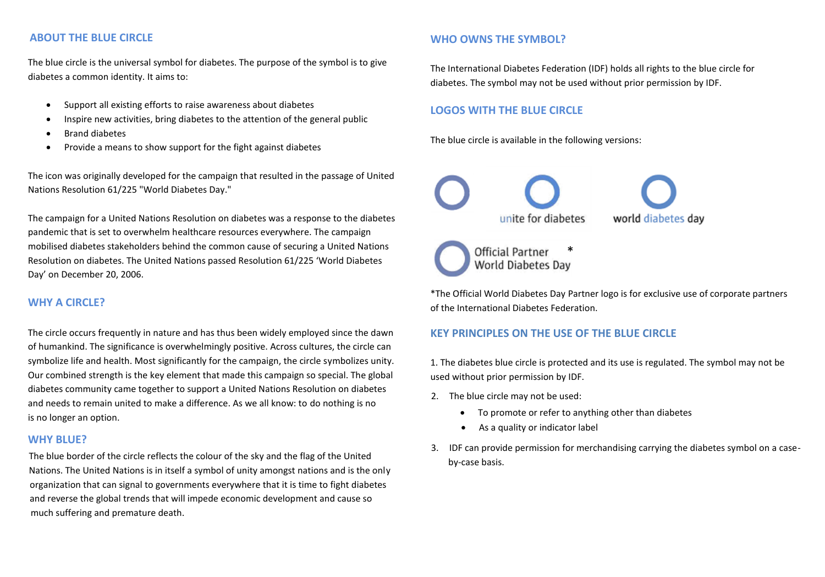# **ABOUT THE BLUE CIRCLE**

The blue circle is the universal symbol for diabetes. The purpose of the symbol is to give diabetes a common identity. It aims to:

- Support all existing efforts to raise awareness about diabetes
- Inspire new activities, bring diabetes to the attention of the general public
- Brand diabetes
- Provide a means to show support for the fight against diabetes

The icon was originally developed for the campaign that resulted in the passage of United Nations Resolution 61/225 "World Diabetes Day."

The campaign for a United Nations Resolution on diabetes was a response to the diabetes pandemic that is set to overwhelm healthcare resources everywhere. The campaign mobilised diabetes stakeholders behind the common cause of securing a United Nations Resolution on diabetes. The United Nations passed Resolution 61/225 'World Diabetes Day' on December 20, 2006.

## **WHY A CIRCLE?**

The circle occurs frequently in nature and has thus been widely employed since the dawn of humankind. The significance is overwhelmingly positive. Across cultures, the circle can symbolize life and health. Most significantly for the campaign, the circle symbolizes unity. Our combined strength is the key element that made this campaign so special. The global diabetes community came together to support a United Nations Resolution on diabetes and needs to remain united to make a difference. As we all know: to do nothing is no is no longer an option.

#### **WHY BLUE?**

The blue border of the circle reflects the colour of the sky and the flag of the United Nations. The United Nations is in itself a symbol of unity amongst nations and is the only organization that can signal to governments everywhere that it is time to fight diabetes and reverse the global trends that will impede economic development and cause so much suffering and premature death.

# **WHO OWNS THE SYMBOL?**

The International Diabetes Federation (IDF) holds all rights to the blue circle for diabetes. The symbol may not be used without prior permission by IDF.

# **LOGOS WITH THE BLUE CIRCLE**

The blue circle is available in the following versions:



\*The Official World Diabetes Day Partner logo is for exclusive use of corporate partners of the International Diabetes Federation.

# **KEY PRINCIPLES ON THE USE OF THE BLUE CIRCLE**

1. The diabetes blue circle is protected and its use is regulated. The symbol may not be used without prior permission by IDF.

- 2. The blue circle may not be used:
	- To promote or refer to anything other than diabetes
	- As a quality or indicator label
- 3. IDF can provide permission for merchandising carrying the diabetes symbol on a caseby-case basis.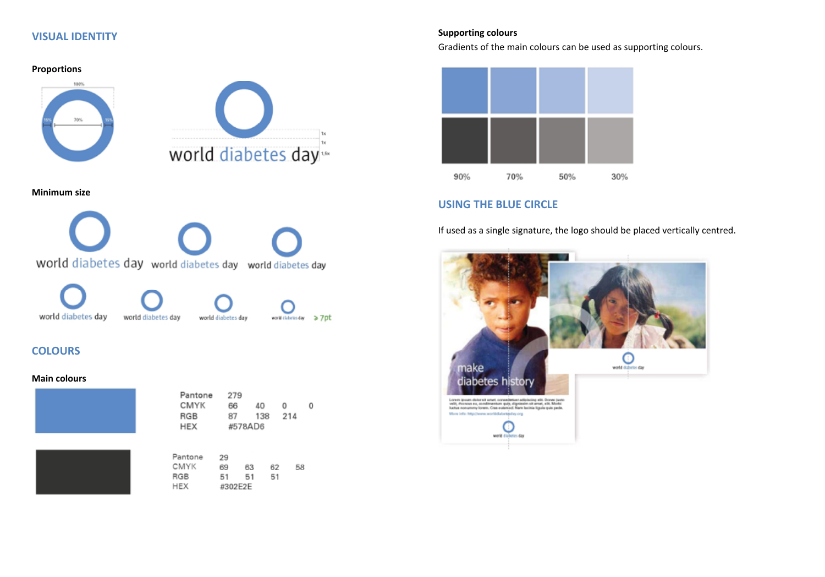## **VISUAL IDENTITY**



#### **Supporting colours**

Gradients of the main colours can be used as supporting colours.



# **USING THE BLUE CIRCLE**

If used as a single signature, the logo should be placed vertically centred.